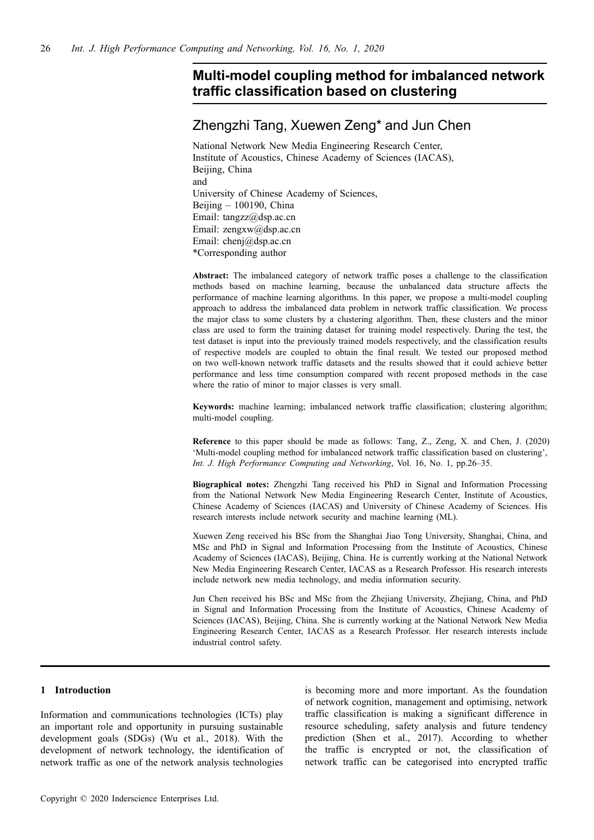# **Multi-model coupling method for imbalanced network traffic classification based on clustering**

# Zhengzhi Tang, Xuewen Zeng\* and Jun Chen

National Network New Media Engineering Research Center, Institute of Acoustics, Chinese Academy of Sciences (IACAS), Beijing, China and University of Chinese Academy of Sciences, Beijing – 100190, China Email: tangzz@dsp.ac.cn Email: zengxw@dsp.ac.cn Email: chenj@dsp.ac.cn \*Corresponding author

**Abstract:** The imbalanced category of network traffic poses a challenge to the classification methods based on machine learning, because the unbalanced data structure affects the performance of machine learning algorithms. In this paper, we propose a multi-model coupling approach to address the imbalanced data problem in network traffic classification. We process the major class to some clusters by a clustering algorithm. Then, these clusters and the minor class are used to form the training dataset for training model respectively. During the test, the test dataset is input into the previously trained models respectively, and the classification results of respective models are coupled to obtain the final result. We tested our proposed method on two well-known network traffic datasets and the results showed that it could achieve better performance and less time consumption compared with recent proposed methods in the case where the ratio of minor to major classes is very small.

**Keywords:** machine learning; imbalanced network traffic classification; clustering algorithm; multi-model coupling.

**Reference** to this paper should be made as follows: Tang, Z., Zeng, X. and Chen, J. (2020) 'Multi-model coupling method for imbalanced network traffic classification based on clustering', *Int. J. High Performance Computing and Networking*, Vol. 16, No. 1, pp.26–35.

**Biographical notes:** Zhengzhi Tang received his PhD in Signal and Information Processing from the National Network New Media Engineering Research Center, Institute of Acoustics, Chinese Academy of Sciences (IACAS) and University of Chinese Academy of Sciences. His research interests include network security and machine learning (ML).

Xuewen Zeng received his BSc from the Shanghai Jiao Tong University, Shanghai, China, and MSc and PhD in Signal and Information Processing from the Institute of Acoustics, Chinese Academy of Sciences (IACAS), Beijing, China. He is currently working at the National Network New Media Engineering Research Center, IACAS as a Research Professor. His research interests include network new media technology, and media information security.

Jun Chen received his BSc and MSc from the Zhejiang University, Zhejiang, China, and PhD in Signal and Information Processing from the Institute of Acoustics, Chinese Academy of Sciences (IACAS), Beijing, China. She is currently working at the National Network New Media Engineering Research Center, IACAS as a Research Professor. Her research interests include industrial control safety.

## **1 Introduction**

Information and communications technologies (ICTs) play an important role and opportunity in pursuing sustainable development goals (SDGs) (Wu et al., 2018). With the development of network technology, the identification of network traffic as one of the network analysis technologies is becoming more and more important. As the foundation of network cognition, management and optimising, network traffic classification is making a significant difference in resource scheduling, safety analysis and future tendency prediction (Shen et al., 2017). According to whether the traffic is encrypted or not, the classification of network traffic can be categorised into encrypted traffic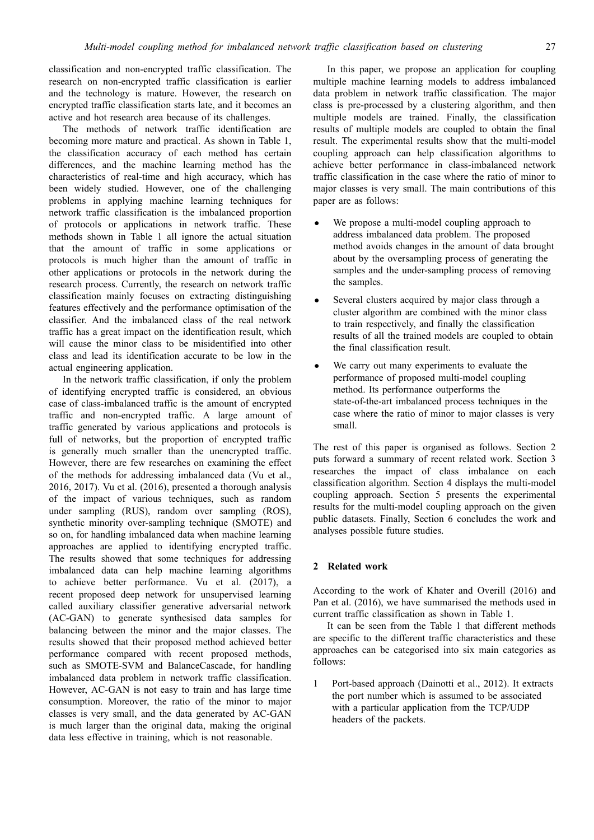classification and non-encrypted traffic classification. The research on non-encrypted traffic classification is earlier and the technology is mature. However, the research on encrypted traffic classification starts late, and it becomes an active and hot research area because of its challenges.

The methods of network traffic identification are becoming more mature and practical. As shown in Table 1, the classification accuracy of each method has certain differences, and the machine learning method has the characteristics of real-time and high accuracy, which has been widely studied. However, one of the challenging problems in applying machine learning techniques for network traffic classification is the imbalanced proportion of protocols or applications in network traffic. These methods shown in Table 1 all ignore the actual situation that the amount of traffic in some applications or protocols is much higher than the amount of traffic in other applications or protocols in the network during the research process. Currently, the research on network traffic classification mainly focuses on extracting distinguishing features effectively and the performance optimisation of the classifier. And the imbalanced class of the real network traffic has a great impact on the identification result, which will cause the minor class to be misidentified into other class and lead its identification accurate to be low in the actual engineering application.

In the network traffic classification, if only the problem of identifying encrypted traffic is considered, an obvious case of class-imbalanced traffic is the amount of encrypted traffic and non-encrypted traffic. A large amount of traffic generated by various applications and protocols is full of networks, but the proportion of encrypted traffic is generally much smaller than the unencrypted traffic. However, there are few researches on examining the effect of the methods for addressing imbalanced data (Vu et al., 2016, 2017). Vu et al. (2016), presented a thorough analysis of the impact of various techniques, such as random under sampling (RUS), random over sampling (ROS), synthetic minority over-sampling technique (SMOTE) and so on, for handling imbalanced data when machine learning approaches are applied to identifying encrypted traffic. The results showed that some techniques for addressing imbalanced data can help machine learning algorithms to achieve better performance. Vu et al. (2017), a recent proposed deep network for unsupervised learning called auxiliary classifier generative adversarial network (AC-GAN) to generate synthesised data samples for balancing between the minor and the major classes. The results showed that their proposed method achieved better performance compared with recent proposed methods, such as SMOTE-SVM and BalanceCascade, for handling imbalanced data problem in network traffic classification. However, AC-GAN is not easy to train and has large time consumption. Moreover, the ratio of the minor to major classes is very small, and the data generated by AC-GAN is much larger than the original data, making the original data less effective in training, which is not reasonable.

In this paper, we propose an application for coupling multiple machine learning models to address imbalanced data problem in network traffic classification. The major class is pre-processed by a clustering algorithm, and then multiple models are trained. Finally, the classification results of multiple models are coupled to obtain the final result. The experimental results show that the multi-model coupling approach can help classification algorithms to achieve better performance in class-imbalanced network traffic classification in the case where the ratio of minor to major classes is very small. The main contributions of this paper are as follows:

- We propose a multi-model coupling approach to address imbalanced data problem. The proposed method avoids changes in the amount of data brought about by the oversampling process of generating the samples and the under-sampling process of removing the samples.
- Several clusters acquired by major class through a cluster algorithm are combined with the minor class to train respectively, and finally the classification results of all the trained models are coupled to obtain the final classification result.
- *•* We carry out many experiments to evaluate the performance of proposed multi-model coupling method. Its performance outperforms the state-of-the-art imbalanced process techniques in the case where the ratio of minor to major classes is very small.

The rest of this paper is organised as follows. Section 2 puts forward a summary of recent related work. Section 3 researches the impact of class imbalance on each classification algorithm. Section 4 displays the multi-model coupling approach. Section 5 presents the experimental results for the multi-model coupling approach on the given public datasets. Finally, Section 6 concludes the work and analyses possible future studies.

## **2 Related work**

According to the work of Khater and Overill (2016) and Pan et al. (2016), we have summarised the methods used in current traffic classification as shown in Table 1.

It can be seen from the Table 1 that different methods are specific to the different traffic characteristics and these approaches can be categorised into six main categories as follows:

1 Port-based approach (Dainotti et al., 2012). It extracts the port number which is assumed to be associated with a particular application from the TCP/UDP headers of the packets.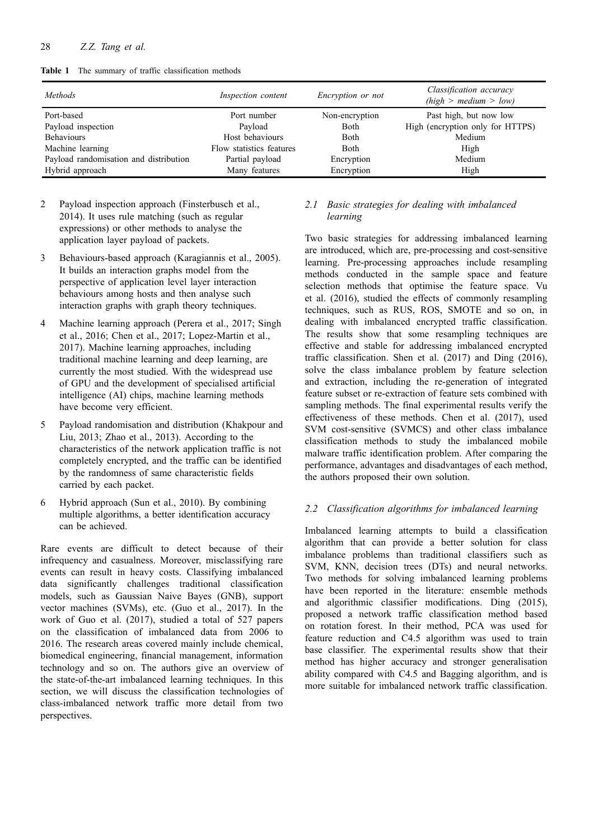**Table 1** The summary of traffic classification methods

| <b>Methods</b>                         | Inspection content       | <i>Encryption or not</i> | Classification accuracy<br>(high > medium > low) |
|----------------------------------------|--------------------------|--------------------------|--------------------------------------------------|
| Port-based                             | Port number              | Non-encryption           | Past high, but now low                           |
| Payload inspection                     | Payload                  | Both                     | High (encryption only for HTTPS)                 |
| <b>Behaviours</b>                      | Host behaviours          | <b>Both</b>              | Medium                                           |
| Machine learning                       | Flow statistics features | <b>Both</b>              | High                                             |
| Payload randomisation and distribution | Partial payload          | Encryption               | Medium                                           |
| Hybrid approach                        | Many features            | Encryption               | High                                             |

- 2 Payload inspection approach (Finsterbusch et al., 2014). It uses rule matching (such as regular expressions) or other methods to analyse the application layer payload of packets.
- 3 Behaviours-based approach (Karagiannis et al., 2005). It builds an interaction graphs model from the perspective of application level layer interaction behaviours among hosts and then analyse such interaction graphs with graph theory techniques.
- 4 Machine learning approach (Perera et al., 2017; Singh et al., 2016; Chen et al., 2017; Lopez-Martin et al., 2017). Machine learning approaches, including traditional machine learning and deep learning, are currently the most studied. With the widespread use of GPU and the development of specialised artificial intelligence (AI) chips, machine learning methods have become very efficient.
- 5 Payload randomisation and distribution (Khakpour and Liu, 2013; Zhao et al., 2013). According to the characteristics of the network application traffic is not completely encrypted, and the traffic can be identified by the randomness of same characteristic fields carried by each packet.
- 6 Hybrid approach (Sun et al., 2010). By combining multiple algorithms, a better identification accuracy can be achieved.

Rare events are difficult to detect because of their infrequency and casualness. Moreover, misclassifying rare events can result in heavy costs. Classifying imbalanced data significantly challenges traditional classification models, such as Gaussian Naive Bayes (GNB), support vector machines (SVMs), etc. (Guo et al., 2017). In the work of Guo et al. (2017), studied a total of 527 papers on the classification of imbalanced data from 2006 to 2016. The research areas covered mainly include chemical, biomedical engineering, financial management, information technology and so on. The authors give an overview of the state-of-the-art imbalanced learning techniques. In this section, we will discuss the classification technologies of class-imbalanced network traffic more detail from two perspectives.

## *2.1 Basic strategies for dealing with imbalanced learning*

Two basic strategies for addressing imbalanced learning are introduced, which are, pre-processing and cost-sensitive learning. Pre-processing approaches include resampling methods conducted in the sample space and feature selection methods that optimise the feature space. Vu et al. (2016), studied the effects of commonly resampling techniques, such as RUS, ROS, SMOTE and so on, in dealing with imbalanced encrypted traffic classification. The results show that some resampling techniques are effective and stable for addressing imbalanced encrypted traffic classification. Shen et al. (2017) and Ding (2016), solve the class imbalance problem by feature selection and extraction, including the re-generation of integrated feature subset or re-extraction of feature sets combined with sampling methods. The final experimental results verify the effectiveness of these methods. Chen et al. (2017), used SVM cost-sensitive (SVMCS) and other class imbalance classification methods to study the imbalanced mobile malware traffic identification problem. After comparing the performance, advantages and disadvantages of each method, the authors proposed their own solution.

## *2.2 Classification algorithms for imbalanced learning*

Imbalanced learning attempts to build a classification algorithm that can provide a better solution for class imbalance problems than traditional classifiers such as SVM, KNN, decision trees (DTs) and neural networks. Two methods for solving imbalanced learning problems have been reported in the literature: ensemble methods and algorithmic classifier modifications. Ding (2015), proposed a network traffic classification method based on rotation forest. In their method, PCA was used for feature reduction and C4.5 algorithm was used to train base classifier. The experimental results show that their method has higher accuracy and stronger generalisation ability compared with C4.5 and Bagging algorithm, and is more suitable for imbalanced network traffic classification.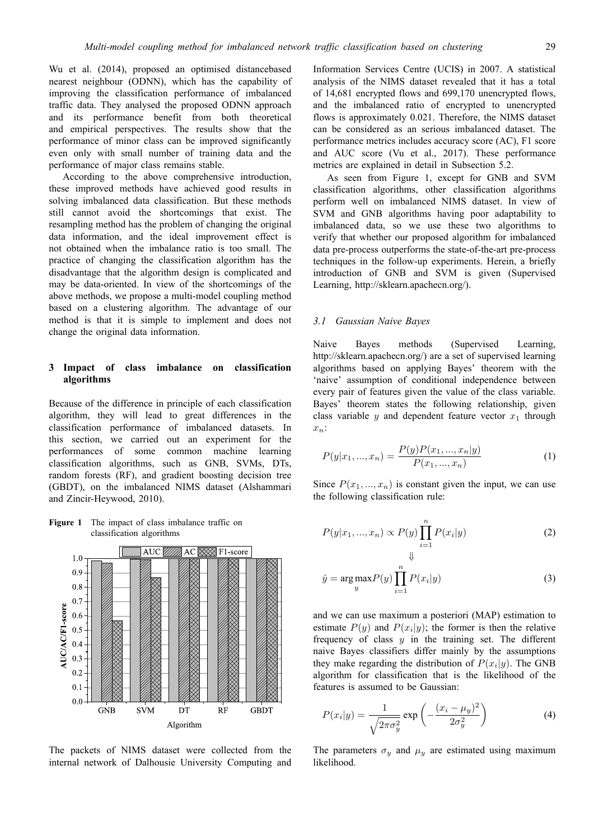Wu et al. (2014), proposed an optimised distancebased nearest neighbour (ODNN), which has the capability of improving the classification performance of imbalanced traffic data. They analysed the proposed ODNN approach and its performance benefit from both theoretical and empirical perspectives. The results show that the performance of minor class can be improved significantly even only with small number of training data and the performance of major class remains stable.

According to the above comprehensive introduction, these improved methods have achieved good results in solving imbalanced data classification. But these methods still cannot avoid the shortcomings that exist. The resampling method has the problem of changing the original data information, and the ideal improvement effect is not obtained when the imbalance ratio is too small. The practice of changing the classification algorithm has the disadvantage that the algorithm design is complicated and may be data-oriented. In view of the shortcomings of the above methods, we propose a multi-model coupling method based on a clustering algorithm. The advantage of our method is that it is simple to implement and does not change the original data information.

## **3 Impact of class imbalance on classification algorithms**

Because of the difference in principle of each classification algorithm, they will lead to great differences in the classification performance of imbalanced datasets. In this section, we carried out an experiment for the performances of some common machine learning classification algorithms, such as GNB, SVMs, DTs, random forests (RF), and gradient boosting decision tree (GBDT), on the imbalanced NIMS dataset (Alshammari and Zincir-Heywood, 2010).

**Figure 1** The impact of class imbalance traffic on classification algorithms



The packets of NIMS dataset were collected from the internal network of Dalhousie University Computing and

Information Services Centre (UCIS) in 2007. A statistical analysis of the NIMS dataset revealed that it has a total of 14,681 encrypted flows and 699,170 unencrypted flows, and the imbalanced ratio of encrypted to unencrypted flows is approximately 0.021. Therefore, the NIMS dataset can be considered as an serious imbalanced dataset. The performance metrics includes accuracy score (AC), F1 score and AUC score (Vu et al., 2017). These performance metrics are explained in detail in Subsection 5.2.

As seen from Figure 1, except for GNB and SVM classification algorithms, other classification algorithms perform well on imbalanced NIMS dataset. In view of SVM and GNB algorithms having poor adaptability to imbalanced data, so we use these two algorithms to verify that whether our proposed algorithm for imbalanced data pre-process outperforms the state-of-the-art pre-process techniques in the follow-up experiments. Herein, a briefly introduction of GNB and SVM is given (Supervised Learning, http://sklearn.apachecn.org/).

## *3.1 Gaussian Naive Bayes*

Naive Bayes methods (Supervised Learning, http://sklearn.apachecn.org/) are a set of supervised learning algorithms based on applying Bayes' theorem with the 'naive' assumption of conditional independence between every pair of features given the value of the class variable. Bayes' theorem states the following relationship, given class variable  $y$  and dependent feature vector  $x_1$  through *xn*:

$$
P(y|x_1,...,x_n) = \frac{P(y)P(x_1,...,x_n|y)}{P(x_1,...,x_n)}
$$
(1)

Since  $P(x_1, ..., x_n)$  is constant given the input, we can use the following classification rule:

$$
P(y|x_1, ..., x_n) \propto P(y) \prod_{i=1}^n P(x_i|y)
$$
 (2)

$$
\hat{y} = \underset{y}{\arg \max} P(y) \prod_{i=1}^{n} P(x_i | y)
$$
\n(3)

and we can use maximum a posteriori (MAP) estimation to estimate  $P(y)$  and  $P(x_i|y)$ ; the former is then the relative frequency of class *y* in the training set. The different naive Bayes classifiers differ mainly by the assumptions they make regarding the distribution of  $P(x_i|y)$ . The GNB algorithm for classification that is the likelihood of the features is assumed to be Gaussian:

$$
P(x_i|y) = \frac{1}{\sqrt{2\pi\sigma_y^2}} \exp\left(-\frac{(x_i - \mu_y)^2}{2\sigma_y^2}\right)
$$
 (4)

The parameters  $\sigma_y$  and  $\mu_y$  are estimated using maximum likelihood.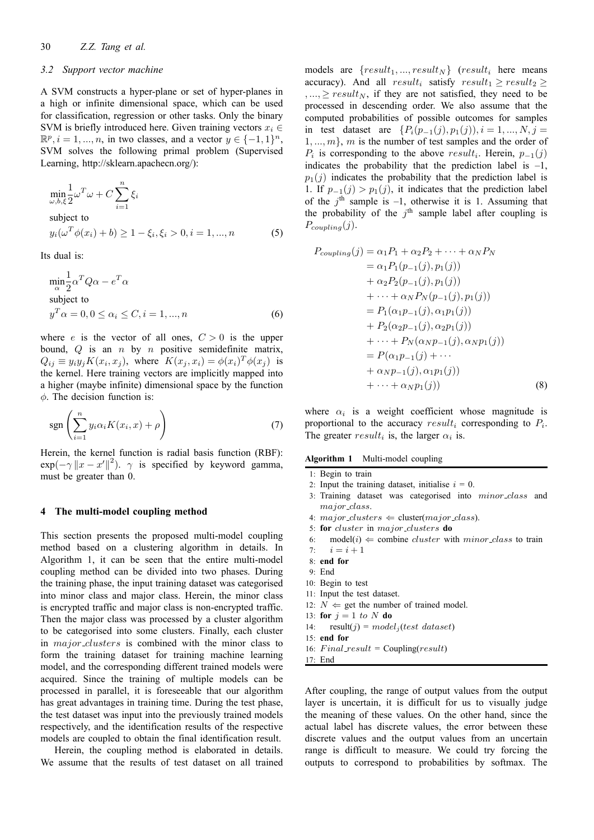#### *3.2 Support vector machine*

A SVM constructs a hyper-plane or set of hyper-planes in a high or infinite dimensional space, which can be used for classification, regression or other tasks. Only the binary SVM is briefly introduced here. Given training vectors  $x_i \in$  $\mathbb{R}^p$ ,  $i = 1, ..., n$ , in two classes, and a vector  $y \in \{-1, 1\}^n$ , SVM solves the following primal problem (Supervised Learning, http://sklearn.apachecn.org/):

$$
\min_{\omega, b, \xi} \frac{1}{2} \omega^T \omega + C \sum_{i=1}^n \xi_i
$$
\nsubject to\n
$$
y_i(\omega^T \phi(x_i) + b) \ge 1 - \xi_i, \xi_i > 0, i = 1, ..., n
$$
\n(5)

Its dual is:

$$
\min_{\alpha} \frac{1}{2} \alpha^T Q \alpha - e^T \alpha
$$
  
subject to  

$$
y^T \alpha = 0, 0 \le \alpha_i \le C, i = 1, ..., n
$$
 (6)

where *e* is the vector of all ones,  $C > 0$  is the upper bound, *Q* is an *n* by *n* positive semidefinite matrix,  $Q_{ij} \equiv y_i y_j K(x_i, x_j)$ , where  $K(x_j, x_i) = \phi(x_i)^T \phi(x_j)$  is the kernel. Here training vectors are implicitly mapped into a higher (maybe infinite) dimensional space by the function *ϕ*. The decision function is:

$$
\operatorname{sgn}\left(\sum_{i=1}^{n} y_i \alpha_i K(x_i, x) + \rho\right) \tag{7}
$$

Herein, the kernel function is radial basis function (RBF):  $\exp(-\gamma \|x - x'\|^2)$ .  $\gamma$  is specified by keyword gamma, must be greater than 0.

#### **4 The multi-model coupling method**

This section presents the proposed multi-model coupling method based on a clustering algorithm in details. In Algorithm 1, it can be seen that the entire multi-model coupling method can be divided into two phases. During the training phase, the input training dataset was categorised into minor class and major class. Herein, the minor class is encrypted traffic and major class is non-encrypted traffic. Then the major class was processed by a cluster algorithm to be categorised into some clusters. Finally, each cluster in *major clusters* is combined with the minor class to form the training dataset for training machine learning model, and the corresponding different trained models were acquired. Since the training of multiple models can be processed in parallel, it is foreseeable that our algorithm has great advantages in training time. During the test phase, the test dataset was input into the previously trained models respectively, and the identification results of the respective models are coupled to obtain the final identification result.

Herein, the coupling method is elaborated in details. We assume that the results of test dataset on all trained models are  ${result_1, ..., result_N}$   $(result_i$  here means accuracy). And all  $result_i$  satisfy  $result_1 \geq result_2 \geq$  $, ..., \geq result_N$ , if they are not satisfied, they need to be processed in descending order. We also assume that the computed probabilities of possible outcomes for samples in test dataset are  $\{P_i(p_{-1}(j), p_1(j)), i = 1, ..., N, j = 1\}$ 1*, ..., m}*, *m* is the number of test samples and the order of  $P_i$  is corresponding to the above  $result_i$ . Herein,  $p_{-1}(j)$ indicates the probability that the prediction label is  $-1$ ,  $p_1(j)$  indicates the probability that the prediction label is 1. If  $p_{-1}(j) > p_1(j)$ , it indicates that the prediction label of the  $j<sup>th</sup>$  sample is  $-1$ , otherwise it is 1. Assuming that the probability of the  $j<sup>th</sup>$  sample label after coupling is  $P_{coupling}(j)$ .

$$
P_{coupling}(j) = \alpha_1 P_1 + \alpha_2 P_2 + \dots + \alpha_N P_N
$$
  
=  $\alpha_1 P_1(p_{-1}(j), p_1(j))$   
+  $\alpha_2 P_2(p_{-1}(j), p_1(j))$   
+  $\dots + \alpha_N P_N(p_{-1}(j), p_1(j))$   
=  $P_1(\alpha_1 p_{-1}(j), \alpha_1 p_1(j))$   
+  $P_2(\alpha_2 p_{-1}(j), \alpha_2 p_1(j))$   
+  $\dots + P_N(\alpha_N p_{-1}(j), \alpha_N p_1(j))$   
=  $P(\alpha_1 p_{-1}(j) + \dots$   
+  $\alpha_N p_{-1}(j), \alpha_1 p_1(j))$   
+  $\dots + \alpha_N p_1(j)$  (8)

where  $\alpha_i$  is a weight coefficient whose magnitude is proportional to the accuracy *result<sup>i</sup>* corresponding to *P<sup>i</sup>* . The greater  $result_i$  is, the larger  $\alpha_i$  is.

#### **Algorithm 1** Multi-model coupling

1: Begin to train

- 2: Input the training dataset, initialise  $i = 0$ .
- 3: Training dataset was categorised into *minor class* and *major class*.
- 4:  $major\_clusters \Leftarrow cluster (major\_class)$ .
- 5: **for** *cluster* in *major clusters* **do**
- 6: model(*i*)  $\Leftarrow$  combine *cluster* with *minor\_class* to train 7:  $i = i + 1$
- $i = i + 1$
- 8: **end for**
- 9: End
- 10: Begin to test
- 11: Input the test dataset.
- 12:  $N \Leftarrow$  get the number of trained model.
- 13: **for**  $j = 1$  *to*  $N$  **do**
- 14:  $result(j) = model<sub>j</sub>(test dataset)$
- 15: **end for**
- 16: *F inal result* = Coupling(*result*)
- 17: End

After coupling, the range of output values from the output layer is uncertain, it is difficult for us to visually judge the meaning of these values. On the other hand, since the actual label has discrete values, the error between these discrete values and the output values from an uncertain range is difficult to measure. We could try forcing the outputs to correspond to probabilities by softmax. The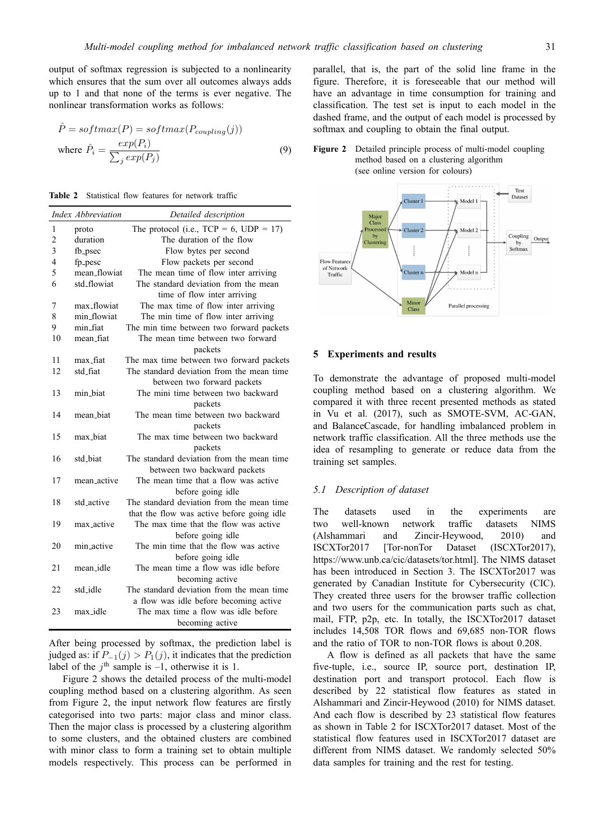output of softmax regression is subjected to a nonlinearity which ensures that the sum over all outcomes always adds up to 1 and that none of the terms is ever negative. The nonlinear transformation works as follows:

$$
\hat{P} = softmax(P) = softmax(P_{coupling}(j))
$$
\n
$$
\text{where } \hat{P}_i = \frac{exp(P_i)}{\sum_j exp(P_j)} \tag{9}
$$

|                | Index Abbreviation | Detailed description                       |
|----------------|--------------------|--------------------------------------------|
| $\mathbf{1}$   | proto              | The protocol (i.e., $TCP = 6, UDP = 17)$   |
| $\overline{2}$ | duration           | The duration of the flow                   |
| 3              | fb_psec            | Flow bytes per second                      |
| $\overline{4}$ | fp_pesc            | Flow packets per second                    |
| 5              | mean_flowiat       | The mean time of flow inter arriving       |
| 6              | std_flowiat        | The standard deviation from the mean       |
|                |                    | time of flow inter arriving                |
| 7              | max_flowiat        | The max time of flow inter arriving        |
| 8              | min_flowiat        | The min time of flow inter arriving        |
| 9              | min_fiat           | The min time between two forward packets   |
| 10             | mean_fiat          | The mean time between two forward          |
|                |                    | packets                                    |
| 11             | max_fiat           | The max time between two forward packets   |
| 12             | std_fiat           | The standard deviation from the mean time  |
|                |                    | between two forward packets                |
| 13             | min biat           | The mini time between two backward         |
|                |                    | packets                                    |
| 14             | mean_biat          | The mean time between two backward         |
|                |                    | packets                                    |
| 15             | max biat           | The max time between two backward          |
|                |                    | packets                                    |
| 16             | std_biat           | The standard deviation from the mean time  |
|                |                    | between two backward packets               |
| 17             | mean_active        | The mean time that a flow was active       |
|                |                    | before going idle                          |
| 18             | std active         | The standard deviation from the mean time  |
|                |                    | that the flow was active before going idle |
| 19             | max active         | The max time that the flow was active      |
|                |                    | before going idle                          |
| 20             | min active         | The min time that the flow was active      |
|                |                    | before going idle                          |
| 21             | mean_idle          | The mean time a flow was idle before       |
|                |                    | becoming active                            |
| 22             | std idle           | The standard deviation from the mean time  |
|                |                    | a flow was idle before becoming active     |
| 23             | max_idle           | The max time a flow was idle before        |
|                |                    | becoming active                            |

After being processed by softmax, the prediction label is judged as: if  $P_{−1}(j) > P_1(j)$ , it indicates that the prediction label of the  $j^{\text{th}}$  sample is  $-1$ , otherwise it is 1.

Figure 2 shows the detailed process of the multi-model coupling method based on a clustering algorithm. As seen from Figure 2, the input network flow features are firstly categorised into two parts: major class and minor class. Then the major class is processed by a clustering algorithm to some clusters, and the obtained clusters are combined with minor class to form a training set to obtain multiple models respectively. This process can be performed in parallel, that is, the part of the solid line frame in the figure. Therefore, it is foreseeable that our method will have an advantage in time consumption for training and classification. The test set is input to each model in the dashed frame, and the output of each model is processed by softmax and coupling to obtain the final output.





#### **5 Experiments and results**

To demonstrate the advantage of proposed multi-model coupling method based on a clustering algorithm. We compared it with three recent presented methods as stated in Vu et al. (2017), such as SMOTE-SVM, AC-GAN, and BalanceCascade, for handling imbalanced problem in network traffic classification. All the three methods use the idea of resampling to generate or reduce data from the training set samples.

#### *5.1 Description of dataset*

The datasets used in the experiments are two well-known network traffic datasets NIMS (Alshammari and Zincir-Heywood, 2010) and ISCXTor2017 [Tor-nonTor Dataset (ISCXTor2017), https://www.unb.ca/cic/datasets/tor.html]. The NIMS dataset has been introduced in Section 3. The ISCXTor2017 was generated by Canadian Institute for Cybersecurity (CIC). They created three users for the browser traffic collection and two users for the communication parts such as chat, mail, FTP, p2p, etc. In totally, the ISCXTor2017 dataset includes 14,508 TOR flows and 69,685 non-TOR flows and the ratio of TOR to non-TOR flows is about 0.208.

A flow is defined as all packets that have the same five-tuple, i.e., source IP, source port, destination IP, destination port and transport protocol. Each flow is described by 22 statistical flow features as stated in Alshammari and Zincir-Heywood (2010) for NIMS dataset. And each flow is described by 23 statistical flow features as shown in Table 2 for ISCXTor2017 dataset. Most of the statistical flow features used in ISCXTor2017 dataset are different from NIMS dataset. We randomly selected 50% data samples for training and the rest for testing.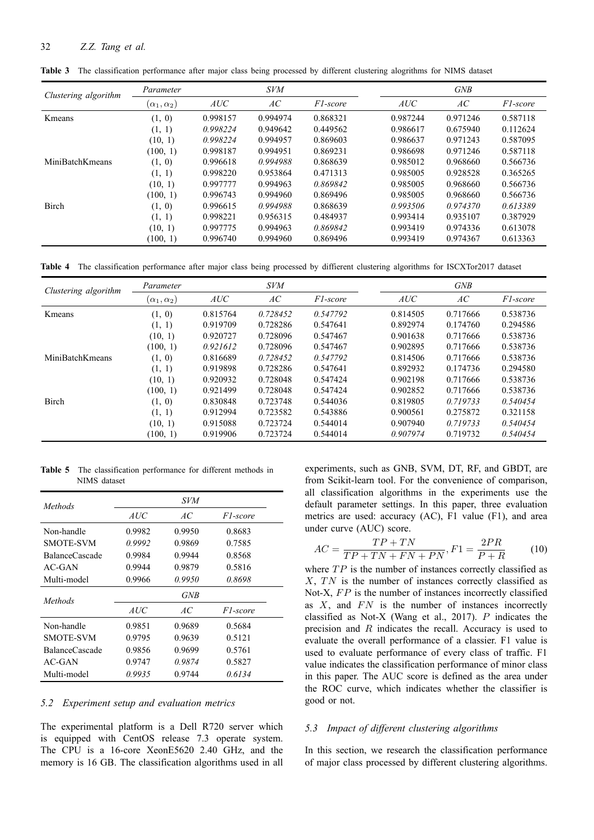| Clustering algorithm   | Parameter             |          | <b>SVM</b> |          |          | <b>GNB</b> |          |
|------------------------|-----------------------|----------|------------|----------|----------|------------|----------|
|                        | $(\alpha_1,\alpha_2)$ | AUC      | AC         | F1-score | AUC      | AC         | F1-score |
| Kmeans                 | (1, 0)                | 0.998157 | 0.994974   | 0.868321 | 0.987244 | 0.971246   | 0.587118 |
|                        | (1, 1)                | 0.998224 | 0.949642   | 0.449562 | 0.986617 | 0.675940   | 0.112624 |
|                        | (10, 1)               | 0.998224 | 0.994957   | 0.869603 | 0.986637 | 0.971243   | 0.587095 |
|                        | (100, 1)              | 0.998187 | 0.994951   | 0.869231 | 0.986698 | 0.971246   | 0.587118 |
| <b>MiniBatchKmeans</b> | (1, 0)                | 0.996618 | 0.994988   | 0.868639 | 0.985012 | 0.968660   | 0.566736 |
|                        | (1, 1)                | 0.998220 | 0.953864   | 0.471313 | 0.985005 | 0.928528   | 0.365265 |
|                        | (10, 1)               | 0.997777 | 0.994963   | 0.869842 | 0.985005 | 0.968660   | 0.566736 |
|                        | (100, 1)              | 0.996743 | 0.994960   | 0.869496 | 0.985005 | 0.968660   | 0.566736 |
| Birch                  | (1, 0)                | 0.996615 | 0.994988   | 0.868639 | 0.993506 | 0.974370   | 0.613389 |
|                        | (1, 1)                | 0.998221 | 0.956315   | 0.484937 | 0.993414 | 0.935107   | 0.387929 |
|                        | (10, 1)               | 0.997775 | 0.994963   | 0.869842 | 0.993419 | 0.974336   | 0.613078 |
|                        | (100, 1)              | 0.996740 | 0.994960   | 0.869496 | 0.993419 | 0.974367   | 0.613363 |

**Table 3** The classification performance after major class being processed by different clustering alogrithms for NIMS dataset

**Table 4** The classification performance after major class being processed by diffierent clustering algorithms for ISCXTor2017 dataset

| Clustering algorithm | Parameter             | <b>SVM</b> |          |          |          | <b>GNB</b> |          |  |
|----------------------|-----------------------|------------|----------|----------|----------|------------|----------|--|
|                      | $(\alpha_1,\alpha_2)$ | AUC        | AC       | F1-score | AUC      | AC         | F1-score |  |
| Kmeans               | (1, 0)                | 0.815764   | 0.728452 | 0.547792 | 0.814505 | 0.717666   | 0.538736 |  |
|                      | (1, 1)                | 0.919709   | 0.728286 | 0.547641 | 0.892974 | 0.174760   | 0.294586 |  |
|                      | (10, 1)               | 0.920727   | 0.728096 | 0.547467 | 0.901638 | 0.717666   | 0.538736 |  |
|                      | (100, 1)              | 0.921612   | 0.728096 | 0.547467 | 0.902895 | 0.717666   | 0.538736 |  |
| MiniBatchKmeans      | (1, 0)                | 0.816689   | 0.728452 | 0.547792 | 0.814506 | 0.717666   | 0.538736 |  |
|                      | (1, 1)                | 0.919898   | 0.728286 | 0.547641 | 0.892932 | 0.174736   | 0.294580 |  |
|                      | (10, 1)               | 0.920932   | 0.728048 | 0.547424 | 0.902198 | 0.717666   | 0.538736 |  |
|                      | (100, 1)              | 0.921499   | 0.728048 | 0.547424 | 0.902852 | 0.717666   | 0.538736 |  |
| <b>Birch</b>         | (1, 0)                | 0.830848   | 0.723748 | 0.544036 | 0.819805 | 0.719733   | 0.540454 |  |
|                      | (1, 1)                | 0.912994   | 0.723582 | 0.543886 | 0.900561 | 0.275872   | 0.321158 |  |
|                      | (10, 1)               | 0.915088   | 0.723724 | 0.544014 | 0.907940 | 0.719733   | 0.540454 |  |
|                      | (100, 1)              | 0.919906   | 0.723724 | 0.544014 | 0.907974 | 0.719732   | 0.540454 |  |

**Table 5** The classification performance for different methods in NIMS dataset

| Methods          | <i>SVM</i> |            |          |
|------------------|------------|------------|----------|
|                  | AUC        | AC         | F1-score |
| Non-handle       | 0.9982     | 0.9950     | 0.8683   |
| <b>SMOTE-SVM</b> | 0.9992     | 0.9869     | 0.7585   |
| BalanceCascade   | 0.9984     | 0.9944     | 0.8568   |
| $AC-GAN$         | 0.9944     | 0.9879     | 0.5816   |
| Multi-model      | 0.9966     | 0.9950     | 0.8698   |
| Methods          |            | <b>GNB</b> |          |
|                  | AUC        | AC         | F1-score |
| Non-handle       | 0.9851     | 0.9689     | 0.5684   |
| <b>SMOTE-SVM</b> | 0.9795     | 0.9639     | 0.5121   |
| BalanceCascade   | 0.9856     | 0.9699     | 0.5761   |
| AC-GAN           | 0.9747     | 0.9874     | 0.5827   |
| Multi-model      | 0.9935     | 0.9744     | 0.6134   |

## *5.2 Experiment setup and evaluation metrics*

The experimental platform is a Dell R720 server which is equipped with CentOS release 7.3 operate system. The CPU is a 16-core XeonE5620 2.40 GHz, and the memory is 16 GB. The classification algorithms used in all

experiments, such as GNB, SVM, DT, RF, and GBDT, are from Scikit-learn tool. For the convenience of comparison, all classification algorithms in the experiments use the default parameter settings. In this paper, three evaluation metrics are used: accuracy (AC), F1 value (F1), and area under curve (AUC) score.

$$
AC = \frac{TP + TN}{TP + TN + FN + PN}, F1 = \frac{2PR}{P + R} \tag{10}
$$

where *TP* is the number of instances correctly classified as *X*, *TN* is the number of instances correctly classified as Not-X, FP is the number of instances incorrectly classified as  $X$ , and  $FN$  is the number of instances incorrectly classified as Not-X (Wang et al., 2017). *P* indicates the precision and *R* indicates the recall. Accuracy is used to evaluate the overall performance of a classier. F1 value is used to evaluate performance of every class of traffic. F1 value indicates the classification performance of minor class in this paper. The AUC score is defined as the area under the ROC curve, which indicates whether the classifier is good or not.

## *5.3 Impact of different clustering algorithms*

In this section, we research the classification performance of major class processed by different clustering algorithms.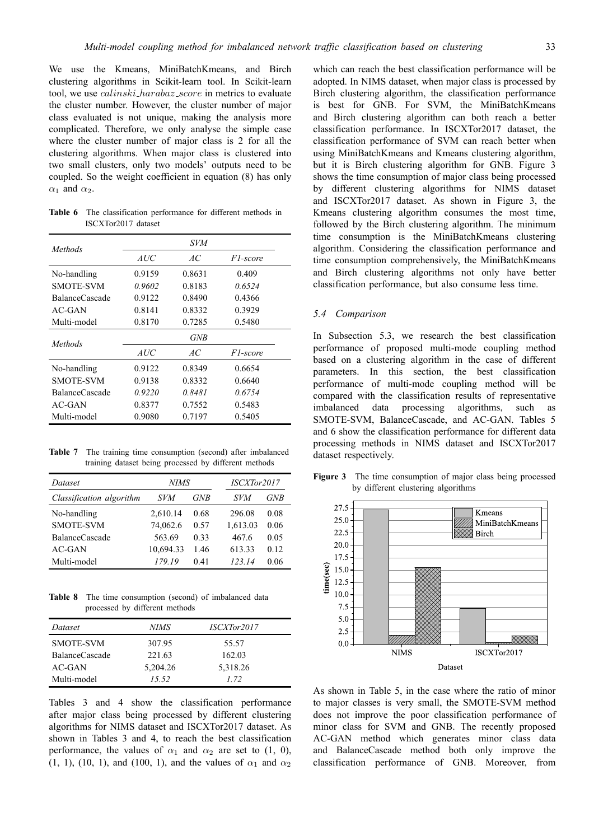We use the Kmeans, MiniBatchKmeans, and Birch clustering algorithms in Scikit-learn tool. In Scikit-learn tool, we use *calinski harabaz score* in metrics to evaluate the cluster number. However, the cluster number of major class evaluated is not unique, making the analysis more complicated. Therefore, we only analyse the simple case where the cluster number of major class is 2 for all the clustering algorithms. When major class is clustered into two small clusters, only two models' outputs need to be coupled. So the weight coefficient in equation (8) has only  $\alpha_1$  and  $\alpha_2$ .

**Table 6** The classification performance for different methods in ISCXTor2017 dataset

| Methods          | <i>SVM</i> |        |          |  |  |
|------------------|------------|--------|----------|--|--|
|                  | <i>AUC</i> | AC.    | F1-score |  |  |
| No-handling      | 0.9159     | 0.8631 | 0.409    |  |  |
| <b>SMOTE-SVM</b> | 0.9602     | 0.8183 | 0.6524   |  |  |
| BalanceCascade   | 0.9122     | 0.8490 | 0.4366   |  |  |
| AC-GAN           | 0.8141     | 0.8332 | 0.3929   |  |  |
| Multi-model      | 0.8170     | 0.7285 | 0.5480   |  |  |
| Methods          | <b>GNB</b> |        |          |  |  |
|                  | AUC        | AC.    | F1-score |  |  |
| No-handling      | 0.9122     | 0.8349 | 0.6654   |  |  |
| <b>SMOTE-SVM</b> | 0.9138     | 0.8332 | 0.6640   |  |  |
| BalanceCascade   | 0.9220     | 0.8481 | 0.6754   |  |  |
| $AC-GAN$         | 0.8377     | 0.7552 | 0.5483   |  |  |
| Multi-model      | 0.9080     | 0.7197 | 0.5405   |  |  |

**Table 7** The training time consumption (second) after imbalanced training dataset being processed by different methods

| Dataset                  | NIMS       |            | ISCXTor2017 |      |
|--------------------------|------------|------------|-------------|------|
| Classification algorithm | <i>SVM</i> | <b>GNB</b> | SVM         | GNB  |
| No-handling              | 2,610.14   | 0.68       | 296.08      | 0.08 |
| <b>SMOTE-SVM</b>         | 74,062.6   | 0.57       | 1,613.03    | 0.06 |
| BalanceCascade           | 563.69     | 0.33       | 467.6       | 0.05 |
| $AC-GAN$                 | 10,694.33  | 1.46       | 613.33      | 0.12 |
| Multi-model              | 179 19     | 0.41       | 123 14      | 0.06 |

**Table 8** The time consumption (second) of imbalanced data processed by different methods

| Dataset        | NIMS     | <i>ISCXTor2017</i> |  |
|----------------|----------|--------------------|--|
| SMOTE-SVM      | 307.95   | 55.57              |  |
| BalanceCascade | 221.63   | 162.03             |  |
| AC-GAN         | 5,204.26 | 5,318.26           |  |
| Multi-model    | 15.52    | 1 72               |  |

Tables 3 and 4 show the classification performance after major class being processed by different clustering algorithms for NIMS dataset and ISCXTor2017 dataset. As shown in Tables 3 and 4, to reach the best classification performance, the values of  $\alpha_1$  and  $\alpha_2$  are set to (1, 0), (1, 1), (10, 1), and (100, 1), and the values of  $\alpha_1$  and  $\alpha_2$ 

which can reach the best classification performance will be adopted. In NIMS dataset, when major class is processed by Birch clustering algorithm, the classification performance is best for GNB. For SVM, the MiniBatchKmeans and Birch clustering algorithm can both reach a better classification performance. In ISCXTor2017 dataset, the classification performance of SVM can reach better when using MiniBatchKmeans and Kmeans clustering algorithm, but it is Birch clustering algorithm for GNB. Figure 3 shows the time consumption of major class being processed by different clustering algorithms for NIMS dataset and ISCXTor2017 dataset. As shown in Figure 3, the Kmeans clustering algorithm consumes the most time, followed by the Birch clustering algorithm. The minimum time consumption is the MiniBatchKmeans clustering algorithm. Considering the classification performance and time consumption comprehensively, the MiniBatchKmeans and Birch clustering algorithms not only have better classification performance, but also consume less time.

## *5.4 Comparison*

In Subsection 5.3, we research the best classification performance of proposed multi-mode coupling method based on a clustering algorithm in the case of different parameters. In this section, the best classification performance of multi-mode coupling method will be compared with the classification results of representative imbalanced data processing algorithms, such as SMOTE-SVM, BalanceCascade, and AC-GAN. Tables 5 and 6 show the classification performance for different data processing methods in NIMS dataset and ISCXTor2017 dataset respectively.



**Figure 3** The time consumption of major class being processed by different clustering algorithms

As shown in Table 5, in the case where the ratio of minor to major classes is very small, the SMOTE-SVM method does not improve the poor classification performance of minor class for SVM and GNB. The recently proposed AC-GAN method which generates minor class data and BalanceCascade method both only improve the classification performance of GNB. Moreover, from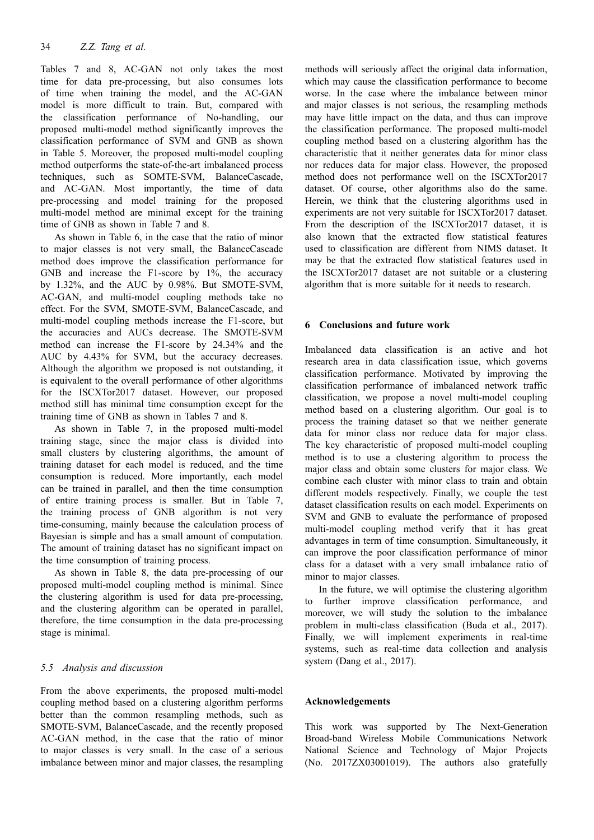Tables 7 and 8, AC-GAN not only takes the most time for data pre-processing, but also consumes lots of time when training the model, and the AC-GAN model is more difficult to train. But, compared with the classification performance of No-handling, our proposed multi-model method significantly improves the classification performance of SVM and GNB as shown in Table 5. Moreover, the proposed multi-model coupling method outperforms the state-of-the-art imbalanced process techniques, such as SOMTE-SVM, BalanceCascade, and AC-GAN. Most importantly, the time of data pre-processing and model training for the proposed multi-model method are minimal except for the training time of GNB as shown in Table 7 and 8.

As shown in Table 6, in the case that the ratio of minor to major classes is not very small, the BalanceCascade method does improve the classification performance for GNB and increase the F1-score by 1%, the accuracy by 1.32%, and the AUC by 0.98%. But SMOTE-SVM, AC-GAN, and multi-model coupling methods take no effect. For the SVM, SMOTE-SVM, BalanceCascade, and multi-model coupling methods increase the F1-score, but the accuracies and AUCs decrease. The SMOTE-SVM method can increase the F1-score by 24.34% and the AUC by 4.43% for SVM, but the accuracy decreases. Although the algorithm we proposed is not outstanding, it is equivalent to the overall performance of other algorithms for the ISCXTor2017 dataset. However, our proposed method still has minimal time consumption except for the training time of GNB as shown in Tables 7 and 8.

As shown in Table 7, in the proposed multi-model training stage, since the major class is divided into small clusters by clustering algorithms, the amount of training dataset for each model is reduced, and the time consumption is reduced. More importantly, each model can be trained in parallel, and then the time consumption of entire training process is smaller. But in Table 7, the training process of GNB algorithm is not very time-consuming, mainly because the calculation process of Bayesian is simple and has a small amount of computation. The amount of training dataset has no significant impact on the time consumption of training process.

As shown in Table 8, the data pre-processing of our proposed multi-model coupling method is minimal. Since the clustering algorithm is used for data pre-processing, and the clustering algorithm can be operated in parallel, therefore, the time consumption in the data pre-processing stage is minimal.

## *5.5 Analysis and discussion*

From the above experiments, the proposed multi-model coupling method based on a clustering algorithm performs better than the common resampling methods, such as SMOTE-SVM, BalanceCascade, and the recently proposed AC-GAN method, in the case that the ratio of minor to major classes is very small. In the case of a serious imbalance between minor and major classes, the resampling

methods will seriously affect the original data information, which may cause the classification performance to become worse. In the case where the imbalance between minor and major classes is not serious, the resampling methods may have little impact on the data, and thus can improve the classification performance. The proposed multi-model coupling method based on a clustering algorithm has the characteristic that it neither generates data for minor class nor reduces data for major class. However, the proposed method does not performance well on the ISCXTor2017 dataset. Of course, other algorithms also do the same. Herein, we think that the clustering algorithms used in experiments are not very suitable for ISCXTor2017 dataset. From the description of the ISCXTor2017 dataset, it is also known that the extracted flow statistical features used to classification are different from NIMS dataset. It may be that the extracted flow statistical features used in the ISCXTor2017 dataset are not suitable or a clustering algorithm that is more suitable for it needs to research.

## **6 Conclusions and future work**

Imbalanced data classification is an active and hot research area in data classification issue, which governs classification performance. Motivated by improving the classification performance of imbalanced network traffic classification, we propose a novel multi-model coupling method based on a clustering algorithm. Our goal is to process the training dataset so that we neither generate data for minor class nor reduce data for major class. The key characteristic of proposed multi-model coupling method is to use a clustering algorithm to process the major class and obtain some clusters for major class. We combine each cluster with minor class to train and obtain different models respectively. Finally, we couple the test dataset classification results on each model. Experiments on SVM and GNB to evaluate the performance of proposed multi-model coupling method verify that it has great advantages in term of time consumption. Simultaneously, it can improve the poor classification performance of minor class for a dataset with a very small imbalance ratio of minor to major classes.

In the future, we will optimise the clustering algorithm to further improve classification performance, and moreover, we will study the solution to the imbalance problem in multi-class classification (Buda et al., 2017). Finally, we will implement experiments in real-time systems, such as real-time data collection and analysis system (Dang et al., 2017).

## **Acknowledgements**

This work was supported by The Next-Generation Broad-band Wireless Mobile Communications Network National Science and Technology of Major Projects (No. 2017ZX03001019). The authors also gratefully